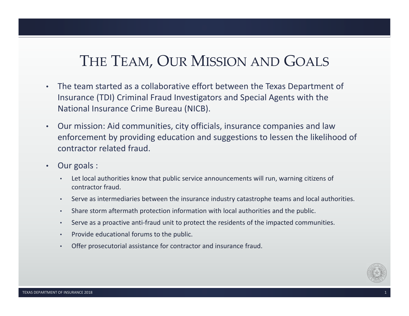# THE TEAM, OUR MISSION AND GOALS

- • The team started as a collaborative effort between the Texas Department of Insurance (TDI) Criminal Fraud Investigators and Special Agents with the National Insurance Crime Bureau (NICB).
- • Our mission: Aid communities, city officials, insurance companies and law enforcement by providing education and suggestions to lessen the likelihood of contractor related fraud.
- • Our goals :
	- • Let local authorities know that public service announcements will run, warning citizens of contractor fraud.
	- •Serve as intermediaries between the insurance industry catastrophe teams and local authorities.
	- •Share storm aftermath protection information with local authorities and the public.
	- •Serve as a proactive anti-fraud unit to protect the residents of the impacted communities.
	- •Provide educational forums to the public.
	- Offer prosecutorial assistance for contractor and insurance fraud.

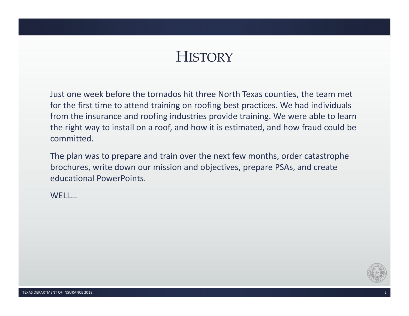# **HISTORY**

Just one week before the tornados hit three North Texas counties, the team met for the first time to attend training on roofing best practices. We had individuals from the insurance and roofing industries provide training. We were able to learn the right way to install on a roof, and how it is estimated, and how fraud could be committed.

The plan was to prepare and train over the next few months, order catastrophe brochures, write down our mission and objectives, prepare PSAs, and create educational PowerPoints.

WELL…

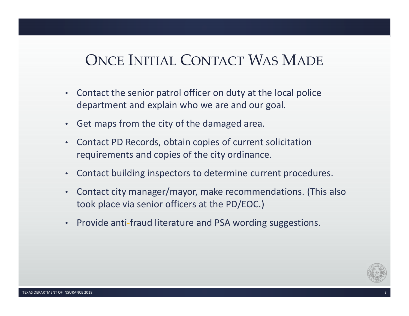# ONCE INITIAL CONTACT WAS MADE

- • Contact the senior patrol officer on duty at the local police department and explain who we are and our goal.
- •Get maps from the city of the damaged area.
- • Contact PD Records, obtain copies of current solicitation requirements and copies of the city ordinance.
- •Contact building inspectors to determine current procedures.
- • Contact city manager/mayor, make recommendations. (This also took place via senior officers at the PD/EOC.)
- •Provide anti‐fraud literature and PSA wording suggestions.

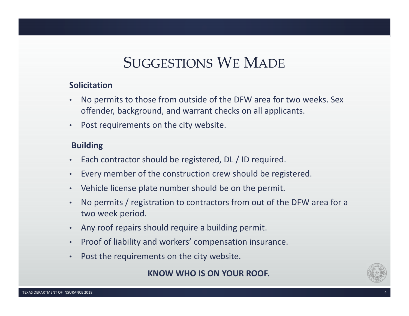# SUGGESTIONS WE MADE

### **Solicitation**

- • No permits to those from outside of the DFW area for two weeks. Sex offender, background, and warrant checks on all applicants.
- •Post requirements on the city website.

### **Building**

- •Each contractor should be registered, DL / ID required.
- •Every member of the construction crew should be registered.
- •Vehicle license plate number should be on the permit.
- • No permits / registration to contractors from out of the DFW area for a two week period.
- •Any roof repairs should require a building permit.
- •Proof of liability and workers' compensation insurance.
- •Post the requirements on the city website.

### **KNOW WHO IS ON YOUR ROOF.**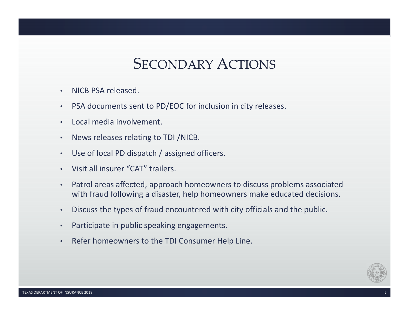## SECONDARY ACTIONS

- •NICB PSA released.
- •PSA documents sent to PD/EOC for inclusion in city releases.
- •Local media involvement.
- •News releases relating to TDI /NICB.
- Use of local PD dispatch / assigned officers.
- Visit all insurer "CAT" trailers.
- • Patrol areas affected, approach homeowners to discuss problems associated with fraud following a disaster, help homeowners make educated decisions.
- •Discuss the types of fraud encountered with city officials and the public.
- •Participate in public speaking engagements.
- •Refer homeowners to the TDI Consumer Help Line.

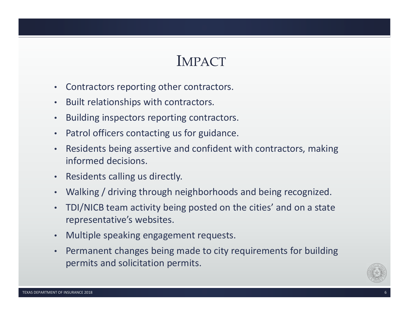## IMPACT

- •Contractors reporting other contractors.
- •Built relationships with contractors.
- •Building inspectors reporting contractors.
- •Patrol officers contacting us for guidance.
- • Residents being assertive and confident with contractors, making informed decisions.
- •Residents calling us directly.
- •Walking / driving through neighborhoods and being recognized.
- • TDI/NICB team activity being posted on the cities' and on a state representative's websites.
- •Multiple speaking engagement requests.
- • Permanent changes being made to city requirements for building permits and solicitation permits.

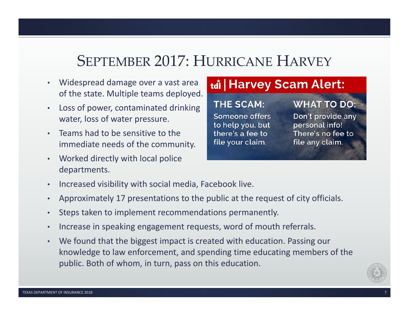# SEPTEMBER 2017: HURRICANE HARVEY

- • Widespread damage over a vast area of the state. Multiple teams deployed.
- • Loss of power, contaminated drinking water, loss of water pressure.
- • Teams had to be sensitive to the immediate needs of the community.
- • Worked directly with local police departments.

### tdi | Harvey Scam Alert:

### **THE SCAM:**

Someone offers to help you, but there's a fee to file your claim.

### **WHAT TO DO:**

Don't provide any personal info! There's no fee to file any claim.

- •Increased visibility with social media, Facebook live.
- •Approximately 17 presentations to the public at the request of city officials.
- •Steps taken to implement recommendations permanently.
- •Increase in speaking engagement requests, word of mouth referrals.
- • We found that the biggest impact is created with education. Passing our knowledge to law enforcement, and spending time educating members of the public. Both of whom, in turn, pass on this education.

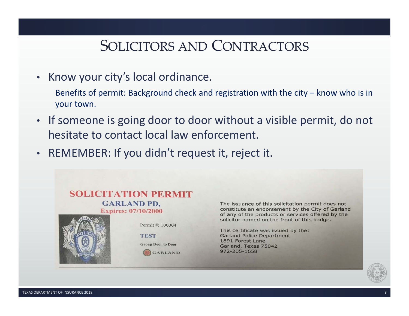## SOLICITORS AND CONTRACTORS

- Know your city's local ordinance.
	- Benefits of permit: Background check and registration with the city know who is in your town.
- If someone is going door to door without a visible permit, do not hesitate to contact local law enforcement.
- REMEMBER: If you didn't request it, reject it.



The issuance of this solicitation permit does not constitute an endorsement by the City of Garland of any of the products or services offered by the solicitor named on the front of this badge.

This certificate was issued by the: **Garland Police Department** 1891 Forest Lane Garland, Texas 75042 972-205-1658

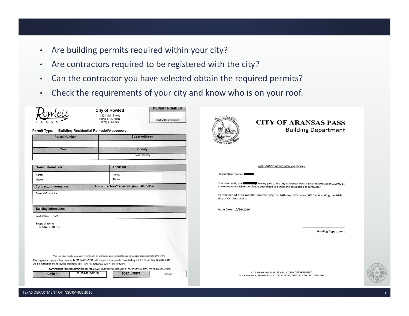- •Are building permits required within your city?
- •Are contractors required to be registered with the city?
- •Can the contractor you have selected obtain the required permits?
- •Check the requirements of your city and know who is on your roof.

**PERMIT NUMBER** 



**City of Rowlett** 3901 Main Street Rowlett, TX 75088 (972) 412-6125



#### Permit Type: Building-Residential Remodel/Accessory

| <b>Parcel Number</b> | <b>Street Address</b> |
|----------------------|-----------------------|
| Zoning               | County                |
|                      | Dallas County         |

| <b>Owner Information</b>      | <b>Applicant</b>                           |
|-------------------------------|--------------------------------------------|
| Name:<br>Phone:               | Name:<br>Phone:                            |
| <b>Contractor Information</b> | All contractors/trades will populate below |
| General Contractor:           |                                            |

**Building Information** 

Work Class: Roof

Scope of Work: **TORNADO REROOF** 

The permitee hereby agrees to comply with all applicable zoning regulations and building codes regulating the work The inspection request line number is (972) 412-6137. All Inspection requests recorded by 4:00 p.m. on any business day will be inspected the following business day. AM/PM requests cannot be honored.

ANY PERMIT ISSUED EXPIRES SIX (6) MONTHS AFTER ISSUANCE IF NO INSPECTIONS HAVE BEEN MADE.





#### **CITY OF ARANSAS PASS Building Department**

#### Occupation or registration receipt

#### **Registration Number**

having paid to the City of Aransas Pass, Texas the amount of \$100.00 as This is to certify that city occupation registration fee, is authorized to pursue the occupation of contractor

For the period of 12 months, commencing the 24th day of October, 2016 and ending the 24th day of October, 2017.

Issue Date: 10/24/2016

**Building Department** 

CITY OF ARANSAS PASS - BUILDING DEPARTMENT 601 N Avenue A, Aransas Pass, TX 78336 / (361)758-3111 / fax (361)758-1309

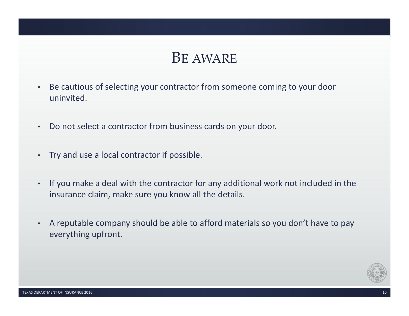# BE AWARE

- • Be cautious of selecting your contractor from someone coming to your door uninvited.
- •Do not select a contractor from business cards on your door.
- Try and use a local contractor if possible.
- • If you make a deal with the contractor for any additional work not included in the insurance claim, make sure you know all the details.
- • A reputable company should be able to afford materials so you don't have to pay everything upfront.

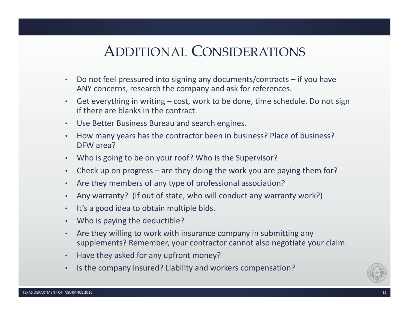# ADDITIONAL CONSIDERATIONS

- • Do not feel pressured into signing any documents/contracts – if you have ANY concerns, research the company and ask for references.
- • Get everything in writing – cost, work to be done, time schedule. Do not sign if there are blanks in the contract.
- Use Better Business Bureau and search engines.
- • How many years has the contractor been in business? Place of business? DFW area?
- Who is going to be on your roof? Who is the Supervisor?
- •Check up on progress – are they doing the work you are paying them for?
- Are they members of any type of professional association?
- •Any warranty? (If out of state, who will conduct any warranty work?)
- •It's a good idea to obtain multiple bids.
- Who is paying the deductible?
- • Are they willing to work with insurance company in submitting any supplements? Remember, your contractor cannot also negotiate your claim.
- •Have they asked for any upfront money?
- •Is the company insured? Liability and workers compensation?

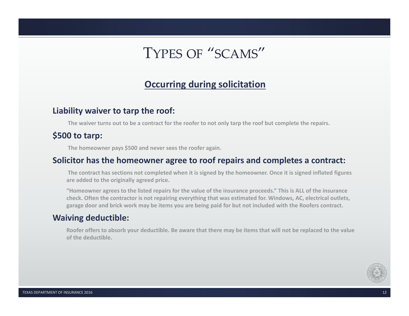# TYPES OF "SCAMS"

### **Occurring during solicitation**

### **Liability waiver to tarp the roof:**

**The waiver turns out to be a contract for the roofer to not only tarp the roof but complete the repairs.**

### **\$500 to tarp:**

**The homeowner pays \$500 and never sees the roofer again.**

### **Solicitor has the homeowner agree to roof repairs and completes a contract:**

**The contract has sections not completed when it is signed by the homeowner. Once it is signed inflated figures are added to the originally agreed price.**

**"Homeowner agrees to the listed repairs for the value of the insurance proceeds." This is ALL of the insurance check. Often the contractor is not repairing everything that was estimated for. Windows, AC, electrical outlets, garage door and brick work may be items you are being paid for but not included with the Roofers contract.**

### **Waiving deductible:**

**Roofer offers to absorb your deductible. Be aware that there may be items that will not be replaced to the value of the deductible.**